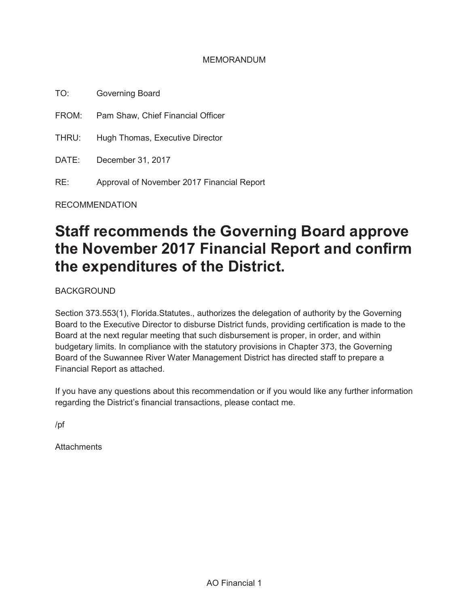#### MEMORANDUM

TO: Governing Board FROM: Pam Shaw, Chief Financial Officer THRU: Hugh Thomas, Executive Director DATE: December 31, 2017 RE: Approval of November 2017 Financial Report

RECOMMENDATION

# **Staff recommends the Governing Board approve the November 2017 Financial Report and confirm the expenditures of the District.**

BACKGROUND

Section 373.553(1), Florida.Statutes., authorizes the delegation of authority by the Governing Board to the Executive Director to disburse District funds, providing certification is made to the Board at the next regular meeting that such disbursement is proper, in order, and within budgetary limits. In compliance with the statutory provisions in Chapter 373, the Governing Board of the Suwannee River Water Management District has directed staff to prepare a Financial Report as attached.

If you have any questions about this recommendation or if you would like any further information regarding the District's financial transactions, please contact me.

/pf

**Attachments**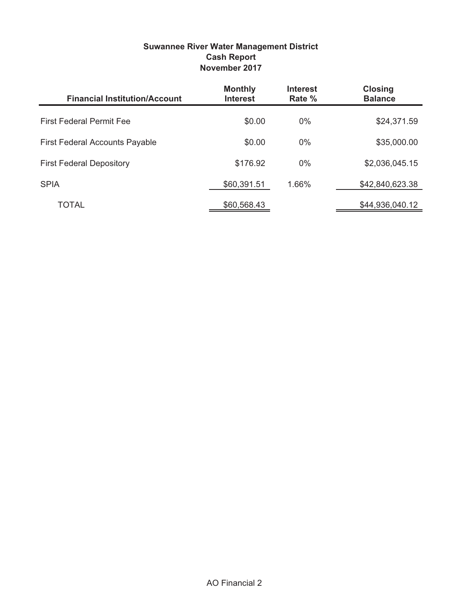| <b>Suwannee River Water Management District</b> |
|-------------------------------------------------|
| <b>Cash Report</b>                              |
| November 2017                                   |

| <b>Financial Institution/Account</b>  | <b>Monthly</b><br><b>Interest</b> | <b>Interest</b><br>Rate % | <b>Closing</b><br><b>Balance</b> |
|---------------------------------------|-----------------------------------|---------------------------|----------------------------------|
| <b>First Federal Permit Fee</b>       | \$0.00                            | $0\%$                     | \$24,371.59                      |
| <b>First Federal Accounts Payable</b> | \$0.00                            | $0\%$                     | \$35,000.00                      |
| <b>First Federal Depository</b>       | \$176.92                          | $0\%$                     | \$2,036,045.15                   |
| <b>SPIA</b>                           | \$60,391.51                       | 1.66%                     | \$42,840,623.38                  |
| TOTAL                                 | \$60,568.43                       |                           | \$44,936,040.12                  |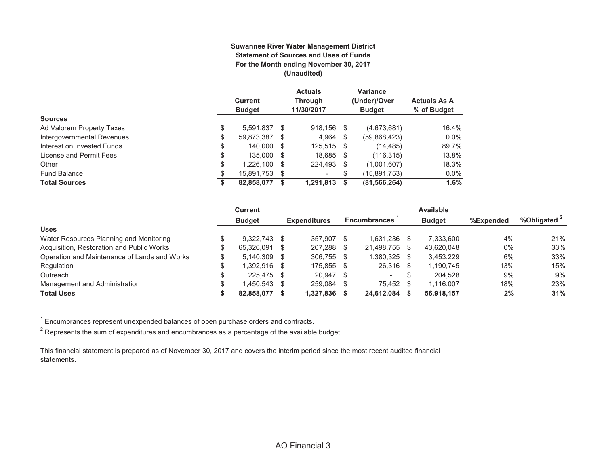#### **Suwannee River Water Management District Statement of Sources and Uses of Funds For the Month ending November 30, 2017 (Unaudited)**

|                            | <b>Current</b><br><b>Budget</b> |    | <b>Actuals</b><br><b>Through</b><br>11/30/2017 |   | Variance<br>(Under)/Over<br><b>Budget</b> | <b>Actuals As A</b><br>% of Budget |
|----------------------------|---------------------------------|----|------------------------------------------------|---|-------------------------------------------|------------------------------------|
| <b>Sources</b>             |                                 |    |                                                |   |                                           |                                    |
| Ad Valorem Property Taxes  | \$<br>5.591.837                 | S  | 918,156 \$                                     |   | (4,673,681)                               | 16.4%                              |
| Intergovernmental Revenues | \$<br>59,873,387                | S  | $4,964$ \$                                     |   | (59,868,423)                              | $0.0\%$                            |
| Interest on Invested Funds | \$<br>140.000 \$                |    | 125.515 \$                                     |   | (14, 485)                                 | 89.7%                              |
| License and Permit Fees    | \$<br>135,000 \$                |    | 18,685 \$                                      |   | (116, 315)                                | 13.8%                              |
| Other                      | \$<br>$1,226,100$ \$            |    | 224,493                                        | S | (1,001,607)                               | 18.3%                              |
| <b>Fund Balance</b>        | \$<br>15,891,753                | S. | -                                              | S | (15,891,753)                              | $0.0\%$                            |
| <b>Total Sources</b>       | \$<br>82.858.077                | S  | 1,291,813                                      | S | (81, 566, 264)                            | 1.6%                               |

|                                              |    | <b>Current</b> |      |                     |      |                          |      | <b>Available</b> |           |              |
|----------------------------------------------|----|----------------|------|---------------------|------|--------------------------|------|------------------|-----------|--------------|
|                                              |    | <b>Budget</b>  |      | <b>Expenditures</b> |      | <b>Encumbrances</b>      |      | <b>Budget</b>    | %Expended | %Obligated 2 |
| <b>Uses</b>                                  |    |                |      |                     |      |                          |      |                  |           |              |
| Water Resources Planning and Monitoring      |    | $9.322.743$ \$ |      | 357.907             |      | 1.631.236                |      | 7.333.600        | 4%        | 21%          |
| Acquisition, Restoration and Public Works    |    | 65.326.091     | - \$ | 207,288             | -S   | 21.498.755               |      | 43,620,048       | $0\%$     | 33%          |
| Operation and Maintenance of Lands and Works | S. | $5.140.309$ \$ |      | 306,755             | - \$ | 1,380,325                | - \$ | 3,453,229        | 6%        | 33%          |
| Regulation                                   |    | 1.392.916 \$   |      | 175.855             | - \$ | 26.316                   |      | 1.190.745        | 13%       | 15%          |
| Outreach                                     |    | 225.475 \$     |      | 20.947              | -S   | $\overline{\phantom{0}}$ |      | 204.528          | 9%        | 9%           |
| Management and Administration                |    | .450.543       | - \$ | 259,084             |      | 75.452                   |      | 1.116.007        | 18%       | 23%          |
| <b>Total Uses</b>                            |    | 82.858.077     |      | 1.327.836           |      | 24.612.084               |      | 56.918.157       | 2%        | 31%          |

 $1$  Encumbrances represent unexpended balances of open purchase orders and contracts.

 $^{\rm 2}$  Represents the sum of expenditures and encumbrances as a percentage of the available budget.

This financial statement is prepared as of November 30, 2017 and covers the interim period since the most recent audited financial statements.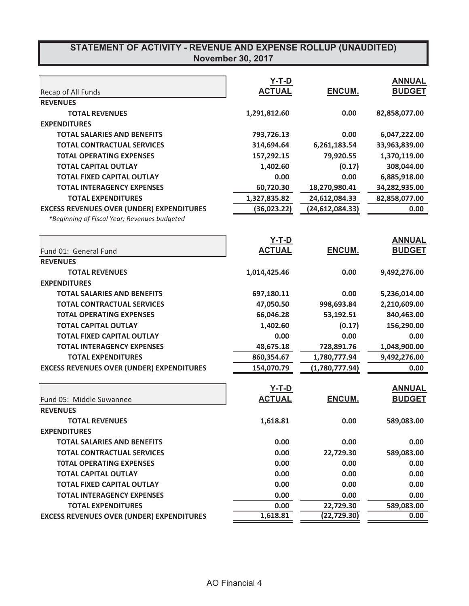|                                                  | <b>Y-T-D</b>  |                   | <b>ANNUAL</b> |
|--------------------------------------------------|---------------|-------------------|---------------|
| Recap of All Funds                               | <b>ACTUAL</b> | ENCUM.            | <b>BUDGET</b> |
| <b>REVENUES</b>                                  |               |                   |               |
| <b>TOTAL REVENUES</b>                            | 1,291,812.60  | 0.00              | 82,858,077.00 |
| <b>EXPENDITURES</b>                              |               |                   |               |
| <b>TOTAL SALARIES AND BENEFITS</b>               | 793,726.13    | 0.00              | 6,047,222.00  |
| <b>TOTAL CONTRACTUAL SERVICES</b>                | 314,694.64    | 6,261,183.54      | 33,963,839.00 |
| <b>TOTAL OPERATING EXPENSES</b>                  | 157,292.15    | 79,920.55         | 1,370,119.00  |
| <b>TOTAL CAPITAL OUTLAY</b>                      | 1,402.60      | (0.17)            | 308,044.00    |
| <b>TOTAL FIXED CAPITAL OUTLAY</b>                | 0.00          | 0.00              | 6,885,918.00  |
| <b>TOTAL INTERAGENCY EXPENSES</b>                | 60,720.30     | 18,270,980.41     | 34,282,935.00 |
| <b>TOTAL EXPENDITURES</b>                        | 1,327,835.82  | 24,612,084.33     | 82,858,077.00 |
| <b>EXCESS REVENUES OVER (UNDER) EXPENDITURES</b> | (36, 023.22)  | (24, 612, 084.33) | 0.00          |
| *Beginning of Fiscal Year; Revenues budgeted     |               |                   |               |
|                                                  |               |                   |               |
|                                                  | $Y-T-D$       |                   | <b>ANNUAL</b> |
| Fund 01: General Fund                            | <b>ACTUAL</b> | ENCUM.            | <b>BUDGET</b> |
| <b>REVENUES</b>                                  |               |                   |               |
| <b>TOTAL REVENUES</b>                            | 1,014,425.46  | 0.00              | 9,492,276.00  |
| <b>EXPENDITURES</b>                              |               |                   |               |
| <b>TOTAL SALARIES AND BENEFITS</b>               | 697,180.11    | 0.00              | 5,236,014.00  |
| <b>TOTAL CONTRACTUAL SERVICES</b>                | 47,050.50     | 998,693.84        | 2,210,609.00  |
| <b>TOTAL OPERATING EXPENSES</b>                  | 66,046.28     | 53,192.51         | 840,463.00    |
| <b>TOTAL CAPITAL OUTLAY</b>                      | 1,402.60      | (0.17)            | 156,290.00    |
| <b>TOTAL FIXED CAPITAL OUTLAY</b>                | 0.00          | 0.00              | 0.00          |
| <b>TOTAL INTERAGENCY EXPENSES</b>                | 48,675.18     | 728,891.76        | 1,048,900.00  |
| <b>TOTAL EXPENDITURES</b>                        | 860,354.67    | 1,780,777.94      | 9,492,276.00  |
| <b>EXCESS REVENUES OVER (UNDER) EXPENDITURES</b> | 154,070.79    | (1,780,777.94)    | 0.00          |
|                                                  |               |                   |               |
|                                                  | <b>Y-T-D</b>  |                   | <b>ANNUAL</b> |
| Fund 05: Middle Suwannee                         | <b>ACTUAL</b> | ENCUM.            | <b>BUDGET</b> |
| <b>REVENUES</b>                                  |               |                   |               |
| <b>TOTAL REVENUES</b>                            | 1,618.81      | 0.00              | 589,083.00    |
| <b>EXPENDITURES</b>                              |               |                   |               |
| <b>TOTAL SALARIES AND BENEFITS</b>               | 0.00          | 0.00              | 0.00          |
| <b>TOTAL CONTRACTUAL SERVICES</b>                | 0.00          | 22,729.30         | 589,083.00    |
| <b>TOTAL OPERATING EXPENSES</b>                  | 0.00          | 0.00              | 0.00          |
| <b>TOTAL CAPITAL OUTLAY</b>                      | 0.00          | 0.00              | 0.00          |
| <b>TOTAL FIXED CAPITAL OUTLAY</b>                | 0.00          | 0.00              | 0.00          |
| <b>TOTAL INTERAGENCY EXPENSES</b>                | 0.00          | 0.00              | 0.00          |
| <b>TOTAL EXPENDITURES</b>                        | 0.00          | 22,729.30         | 589,083.00    |
| <b>EXCESS REVENUES OVER (UNDER) EXPENDITURES</b> | 1,618.81      | (22, 729.30)      | 0.00          |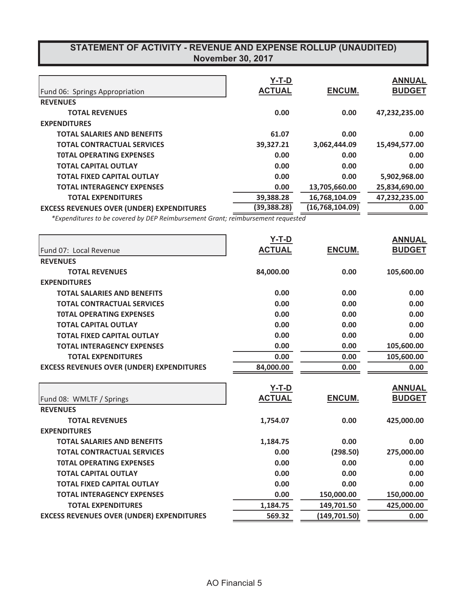|                                                  | $Y-T-D$       |                   | <b>ANNUAL</b> |
|--------------------------------------------------|---------------|-------------------|---------------|
| Fund 06: Springs Appropriation                   | <b>ACTUAL</b> | <b>ENCUM.</b>     | <b>BUDGET</b> |
| <b>REVENUES</b>                                  |               |                   |               |
| <b>TOTAL REVENUES</b>                            | 0.00          | 0.00              | 47,232,235.00 |
| <b>EXPENDITURES</b>                              |               |                   |               |
| <b>TOTAL SALARIES AND BENEFITS</b>               | 61.07         | 0.00              | 0.00          |
| <b>TOTAL CONTRACTUAL SERVICES</b>                | 39,327.21     | 3,062,444.09      | 15,494,577.00 |
| <b>TOTAL OPERATING EXPENSES</b>                  | 0.00          | 0.00              | 0.00          |
| <b>TOTAL CAPITAL OUTLAY</b>                      | 0.00          | 0.00              | 0.00          |
| <b>TOTAL FIXED CAPITAL OUTLAY</b>                | 0.00          | 0.00              | 5,902,968.00  |
| <b>TOTAL INTERAGENCY EXPENSES</b>                | 0.00          | 13,705,660.00     | 25,834,690.00 |
| <b>TOTAL EXPENDITURES</b>                        | 39,388.28     | 16,768,104.09     | 47,232,235.00 |
| <b>EXCESS REVENUES OVER (UNDER) EXPENDITURES</b> | (39, 388.28)  | (16, 768, 104.09) | 0.00          |

*\** Expenditures to be covered by DEP Reimbursement Grant; reimbursement requested

| Fund 07: Local Revenue                           | $Y-T-D$<br><b>ACTUAL</b>      | ENCUM.        | <b>ANNUAL</b><br><b>BUDGET</b> |
|--------------------------------------------------|-------------------------------|---------------|--------------------------------|
| <b>REVENUES</b>                                  |                               |               |                                |
| <b>TOTAL REVENUES</b>                            | 84,000.00                     | 0.00          | 105,600.00                     |
| <b>EXPENDITURES</b>                              |                               |               |                                |
| <b>TOTAL SALARIES AND BENEFITS</b>               | 0.00                          | 0.00          | 0.00                           |
| <b>TOTAL CONTRACTUAL SERVICES</b>                | 0.00                          | 0.00          | 0.00                           |
| <b>TOTAL OPERATING EXPENSES</b>                  | 0.00                          | 0.00          | 0.00                           |
| <b>TOTAL CAPITAL OUTLAY</b>                      | 0.00                          | 0.00          | 0.00                           |
| <b>TOTAL FIXED CAPITAL OUTLAY</b>                | 0.00                          | 0.00          | 0.00                           |
| <b>TOTAL INTERAGENCY EXPENSES</b>                | 0.00                          | 0.00          | 105,600.00                     |
| <b>TOTAL EXPENDITURES</b>                        | 0.00                          | 0.00          | 105,600.00                     |
| <b>EXCESS REVENUES OVER (UNDER) EXPENDITURES</b> | 84,000.00                     | 0.00          | 0.00                           |
| Fund 08: WMLTF / Springs                         | <b>Y-T-D</b><br><b>ACTUAL</b> | <b>ENCUM.</b> | <b>ANNUAL</b><br><b>BUDGET</b> |
| <b>REVENUES</b>                                  |                               |               |                                |
| <b>TOTAL REVENUES</b>                            | 1,754.07                      | 0.00          | 425,000.00                     |
| <b>EXPENDITURES</b>                              |                               |               |                                |
| <b>TOTAL SALARIES AND BENEFITS</b>               | 1,184.75                      | 0.00          | 0.00                           |
| <b>TOTAL CONTRACTUAL SERVICES</b>                | 0.00                          | (298.50)      | 275,000.00                     |
| <b>TOTAL OPERATING EXPENSES</b>                  | 0.00                          | 0.00          | 0.00                           |
| <b>TOTAL CAPITAL OUTLAY</b>                      | 0.00                          | 0.00          | 0.00                           |
| <b>TOTAL FIXED CAPITAL OUTLAY</b>                | 0.00                          | 0.00          | 0.00                           |
| <b>TOTAL INTERAGENCY EXPENSES</b>                | 0.00                          | 150,000.00    | 150,000.00                     |
| <b>TOTAL EXPENDITURES</b>                        | 1,184.75                      | 149,701.50    | 425,000.00                     |
| <b>EXCESS REVENUES OVER (UNDER) EXPENDITURES</b> | 569.32                        | (149,701.50)  | 0.00                           |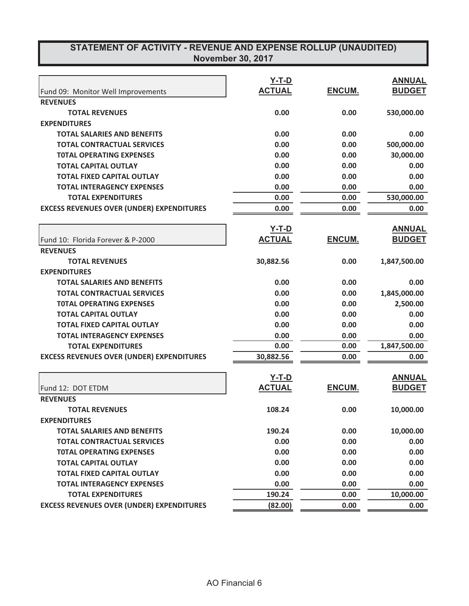|                                                  | $Y-T-D$       |        | <b>ANNUAL</b> |
|--------------------------------------------------|---------------|--------|---------------|
| Fund 09: Monitor Well Improvements               | <b>ACTUAL</b> | ENCUM. | <b>BUDGET</b> |
| <b>REVENUES</b>                                  |               |        |               |
| <b>TOTAL REVENUES</b>                            | 0.00          | 0.00   | 530,000.00    |
| <b>EXPENDITURES</b>                              |               |        |               |
| <b>TOTAL SALARIES AND BENEFITS</b>               | 0.00          | 0.00   | 0.00          |
| <b>TOTAL CONTRACTUAL SERVICES</b>                | 0.00          | 0.00   | 500,000.00    |
| <b>TOTAL OPERATING EXPENSES</b>                  | 0.00          | 0.00   | 30,000.00     |
| <b>TOTAL CAPITAL OUTLAY</b>                      | 0.00          | 0.00   | 0.00          |
| <b>TOTAL FIXED CAPITAL OUTLAY</b>                | 0.00          | 0.00   | 0.00          |
| <b>TOTAL INTERAGENCY EXPENSES</b>                | 0.00          | 0.00   | 0.00          |
| <b>TOTAL EXPENDITURES</b>                        | 0.00          | 0.00   | 530,000.00    |
| <b>EXCESS REVENUES OVER (UNDER) EXPENDITURES</b> | 0.00          | 0.00   | 0.00          |
|                                                  | <u>Y-T-D</u>  |        | <b>ANNUAL</b> |
| Fund 10: Florida Forever & P-2000                | <b>ACTUAL</b> | ENCUM. | <b>BUDGET</b> |
| <b>REVENUES</b>                                  |               |        |               |
| <b>TOTAL REVENUES</b>                            | 30,882.56     | 0.00   | 1,847,500.00  |
| <b>EXPENDITURES</b>                              |               |        |               |
| <b>TOTAL SALARIES AND BENEFITS</b>               | 0.00          | 0.00   | 0.00          |
| <b>TOTAL CONTRACTUAL SERVICES</b>                | 0.00          | 0.00   | 1,845,000.00  |
| <b>TOTAL OPERATING EXPENSES</b>                  | 0.00          | 0.00   | 2,500.00      |
| <b>TOTAL CAPITAL OUTLAY</b>                      | 0.00          | 0.00   | 0.00          |
| <b>TOTAL FIXED CAPITAL OUTLAY</b>                | 0.00          | 0.00   | 0.00          |
| <b>TOTAL INTERAGENCY EXPENSES</b>                | 0.00          | 0.00   | 0.00          |
| <b>TOTAL EXPENDITURES</b>                        | 0.00          | 0.00   | 1,847,500.00  |
| <b>EXCESS REVENUES OVER (UNDER) EXPENDITURES</b> | 30,882.56     | 0.00   | 0.00          |
|                                                  | <b>Y-T-D</b>  |        | <b>ANNUAL</b> |
| Fund 12: DOT ETDM                                | <u>ACTUAL</u> | ENCUM. | <b>BUDGET</b> |
| <b>REVENUES</b>                                  |               |        |               |
| <b>TOTAL REVENUES</b>                            | 108.24        | 0.00   | 10,000.00     |
| <b>EXPENDITURES</b>                              |               |        |               |
| <b>TOTAL SALARIES AND BENEFITS</b>               | 190.24        | 0.00   | 10,000.00     |
| <b>TOTAL CONTRACTUAL SERVICES</b>                | 0.00          | 0.00   | 0.00          |
| <b>TOTAL OPERATING EXPENSES</b>                  | 0.00          | 0.00   | 0.00          |
| <b>TOTAL CAPITAL OUTLAY</b>                      | 0.00          | 0.00   | 0.00          |
| <b>TOTAL FIXED CAPITAL OUTLAY</b>                | 0.00          | 0.00   | 0.00          |
| <b>TOTAL INTERAGENCY EXPENSES</b>                | 0.00          | 0.00   | 0.00          |
| <b>TOTAL EXPENDITURES</b>                        | 190.24        | 0.00   | 10,000.00     |
| <b>EXCESS REVENUES OVER (UNDER) EXPENDITURES</b> | (82.00)       | 0.00   | 0.00          |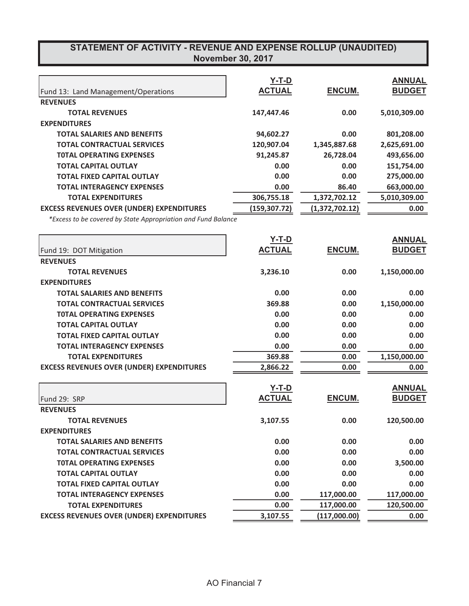|                                                  | $Y-T-D$       |                | <b>ANNUAL</b> |
|--------------------------------------------------|---------------|----------------|---------------|
| Fund 13: Land Management/Operations              | <b>ACTUAL</b> | ENCUM.         | <b>BUDGET</b> |
| <b>REVENUES</b>                                  |               |                |               |
| <b>TOTAL REVENUES</b>                            | 147,447.46    | 0.00           | 5,010,309.00  |
| <b>EXPENDITURES</b>                              |               |                |               |
| <b>TOTAL SALARIES AND BENEFITS</b>               | 94,602.27     | 0.00           | 801,208.00    |
| <b>TOTAL CONTRACTUAL SERVICES</b>                | 120,907.04    | 1,345,887.68   | 2,625,691.00  |
| <b>TOTAL OPERATING EXPENSES</b>                  | 91,245.87     | 26,728.04      | 493,656.00    |
| <b>TOTAL CAPITAL OUTLAY</b>                      | 0.00          | 0.00           | 151,754.00    |
| <b>TOTAL FIXED CAPITAL OUTLAY</b>                | 0.00          | 0.00           | 275,000.00    |
| <b>TOTAL INTERAGENCY EXPENSES</b>                | 0.00          | 86.40          | 663,000.00    |
| <b>TOTAL EXPENDITURES</b>                        | 306,755.18    | 1,372,702.12   | 5,010,309.00  |
| <b>EXCESS REVENUES OVER (UNDER) EXPENDITURES</b> | (159, 307.72) | (1,372,702.12) | 0.00          |
|                                                  |               |                |               |

*\*Excess to be covered by State Appropriation and Fund Balance* 

| Fund 19: DOT Mitigation                          | $Y-T-D$<br><b>ACTUAL</b>      | ENCUM.        | <b>ANNUAL</b><br><b>BUDGET</b> |
|--------------------------------------------------|-------------------------------|---------------|--------------------------------|
| <b>REVENUES</b>                                  |                               |               |                                |
| <b>TOTAL REVENUES</b>                            | 3,236.10                      | 0.00          | 1,150,000.00                   |
| <b>EXPENDITURES</b>                              |                               |               |                                |
| <b>TOTAL SALARIES AND BENEFITS</b>               | 0.00                          | 0.00          | 0.00                           |
| <b>TOTAL CONTRACTUAL SERVICES</b>                | 369.88                        | 0.00          | 1,150,000.00                   |
| <b>TOTAL OPERATING EXPENSES</b>                  | 0.00                          | 0.00          | 0.00                           |
| <b>TOTAL CAPITAL OUTLAY</b>                      | 0.00                          | 0.00          | 0.00                           |
| <b>TOTAL FIXED CAPITAL OUTLAY</b>                | 0.00                          | 0.00          | 0.00                           |
| <b>TOTAL INTERAGENCY EXPENSES</b>                | 0.00                          | 0.00          | 0.00                           |
| <b>TOTAL EXPENDITURES</b>                        | 369.88                        | 0.00          | 1,150,000.00                   |
| <b>EXCESS REVENUES OVER (UNDER) EXPENDITURES</b> | 2,866.22                      | 0.00          | 0.00                           |
| Fund 29: SRP                                     | <b>Y-T-D</b><br><b>ACTUAL</b> | <b>ENCUM.</b> | <b>ANNUAL</b><br><b>BUDGET</b> |
| <b>REVENUES</b>                                  |                               |               |                                |
| <b>TOTAL REVENUES</b>                            | 3,107.55                      | 0.00          | 120,500.00                     |
| <b>EXPENDITURES</b>                              |                               |               |                                |
| <b>TOTAL SALARIES AND BENEFITS</b>               | 0.00                          | 0.00          | 0.00                           |
| <b>TOTAL CONTRACTUAL SERVICES</b>                | 0.00                          | 0.00          | 0.00                           |
| <b>TOTAL OPERATING EXPENSES</b>                  | 0.00                          | 0.00          | 3,500.00                       |
| <b>TOTAL CAPITAL OUTLAY</b>                      | 0.00                          | 0.00          | 0.00                           |
| <b>TOTAL FIXED CAPITAL OUTLAY</b>                | 0.00                          | 0.00          | 0.00                           |
| <b>TOTAL INTERAGENCY EXPENSES</b>                | 0.00                          | 117,000.00    | 117,000.00                     |
| <b>TOTAL EXPENDITURES</b>                        | 0.00                          | 117,000.00    | 120,500.00                     |
| <b>EXCESS REVENUES OVER (UNDER) EXPENDITURES</b> | 3,107.55                      | (117,000.00)  | 0.00                           |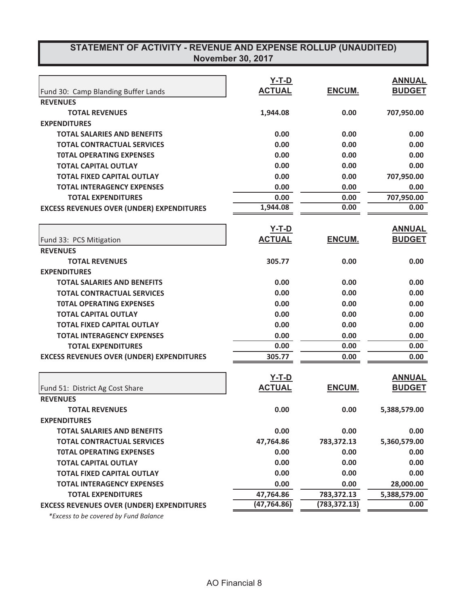| Fund 30: Camp Blanding Buffer Lands              | <b>Y-T-D</b><br><b>ACTUAL</b> | ENCUM.        | <b>ANNUAL</b><br><b>BUDGET</b> |
|--------------------------------------------------|-------------------------------|---------------|--------------------------------|
| <b>REVENUES</b>                                  |                               |               |                                |
| <b>TOTAL REVENUES</b>                            | 1,944.08                      | 0.00          | 707,950.00                     |
| <b>EXPENDITURES</b>                              |                               |               |                                |
| <b>TOTAL SALARIES AND BENEFITS</b>               | 0.00                          | 0.00          | 0.00                           |
| <b>TOTAL CONTRACTUAL SERVICES</b>                | 0.00                          | 0.00          | 0.00                           |
| <b>TOTAL OPERATING EXPENSES</b>                  | 0.00                          | 0.00          | 0.00                           |
| <b>TOTAL CAPITAL OUTLAY</b>                      | 0.00                          | 0.00          | 0.00                           |
| <b>TOTAL FIXED CAPITAL OUTLAY</b>                | 0.00                          | 0.00          | 707,950.00                     |
| <b>TOTAL INTERAGENCY EXPENSES</b>                | 0.00                          | 0.00          | 0.00                           |
| <b>TOTAL EXPENDITURES</b>                        | 0.00                          | 0.00          | 707,950.00                     |
| <b>EXCESS REVENUES OVER (UNDER) EXPENDITURES</b> | 1,944.08                      | 0.00          | 0.00                           |
|                                                  | <b>Y-T-D</b>                  |               | <b>ANNUAL</b>                  |
| Fund 33: PCS Mitigation                          | <b>ACTUAL</b>                 | ENCUM.        | <b>BUDGET</b>                  |
| <b>REVENUES</b>                                  |                               |               |                                |
| <b>TOTAL REVENUES</b>                            | 305.77                        | 0.00          | 0.00                           |
| <b>EXPENDITURES</b>                              |                               |               |                                |
| <b>TOTAL SALARIES AND BENEFITS</b>               | 0.00                          | 0.00          | 0.00                           |
| <b>TOTAL CONTRACTUAL SERVICES</b>                | 0.00                          | 0.00          | 0.00                           |
| <b>TOTAL OPERATING EXPENSES</b>                  | 0.00                          | 0.00          | 0.00                           |
| <b>TOTAL CAPITAL OUTLAY</b>                      | 0.00                          | 0.00          | 0.00                           |
| <b>TOTAL FIXED CAPITAL OUTLAY</b>                | 0.00                          | 0.00          | 0.00                           |
| <b>TOTAL INTERAGENCY EXPENSES</b>                | 0.00                          | 0.00          | 0.00                           |
| <b>TOTAL EXPENDITURES</b>                        | 0.00                          | 0.00          | 0.00                           |
| <b>EXCESS REVENUES OVER (UNDER) EXPENDITURES</b> | 305.77                        | 0.00          | 0.00                           |
|                                                  | $Y-T-D$                       |               | <b>ANNUAL</b>                  |
| Fund 51: District Ag Cost Share                  | <b>ACTUAL</b>                 | ENCUM.        | <b>BUDGET</b>                  |
| <b>REVENUES</b>                                  |                               |               |                                |
| <b>TOTAL REVENUES</b>                            | 0.00                          | 0.00          | 5,388,579.00                   |
| <b>EXPENDITURES</b>                              |                               |               |                                |
| <b>TOTAL SALARIES AND BENEFITS</b>               | 0.00                          | 0.00          | 0.00                           |
| <b>TOTAL CONTRACTUAL SERVICES</b>                | 47,764.86                     | 783,372.13    | 5,360,579.00                   |
| <b>TOTAL OPERATING EXPENSES</b>                  | 0.00                          | 0.00          | 0.00                           |
| <b>TOTAL CAPITAL OUTLAY</b>                      | 0.00                          | 0.00          | 0.00                           |
| <b>TOTAL FIXED CAPITAL OUTLAY</b>                | 0.00                          | 0.00          | 0.00                           |
| <b>TOTAL INTERAGENCY EXPENSES</b>                | 0.00                          | 0.00          | 28,000.00                      |
| <b>TOTAL EXPENDITURES</b>                        | 47,764.86                     | 783,372.13    | 5,388,579.00                   |
| <b>EXCESS REVENUES OVER (UNDER) EXPENDITURES</b> | (47, 764.86)                  | (783, 372.13) | 0.00                           |
|                                                  |                               |               |                                |

 $*$ *Excess to be covered by Fund Balance*